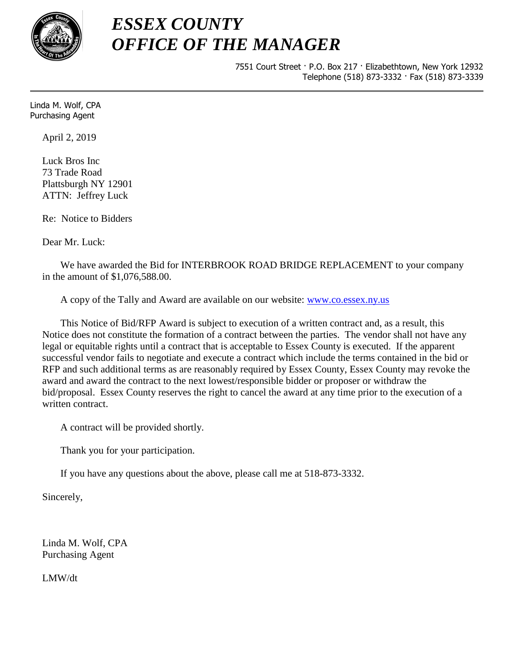

## *ESSEX COUNTY OFFICE OF THE MANAGER*

7551 Court Street · P.O. Box 217 · Elizabethtown, New York 12932 Telephone (518) 873-3332 · Fax (518) 873-3339

Linda M. Wolf, CPA Purchasing Agent

April 2, 2019

Luck Bros Inc 73 Trade Road Plattsburgh NY 12901 ATTN: Jeffrey Luck

Re: Notice to Bidders

Dear Mr. Luck:

We have awarded the Bid for INTERBROOK ROAD BRIDGE REPLACEMENT to your company in the amount of \$1,076,588.00.

A copy of the Tally and Award are available on our website: [www.co.essex.ny.us](http://www.co.essex.ny.us/)

This Notice of Bid/RFP Award is subject to execution of a written contract and, as a result, this Notice does not constitute the formation of a contract between the parties. The vendor shall not have any legal or equitable rights until a contract that is acceptable to Essex County is executed. If the apparent successful vendor fails to negotiate and execute a contract which include the terms contained in the bid or RFP and such additional terms as are reasonably required by Essex County, Essex County may revoke the award and award the contract to the next lowest/responsible bidder or proposer or withdraw the bid/proposal. Essex County reserves the right to cancel the award at any time prior to the execution of a written contract.

A contract will be provided shortly.

Thank you for your participation.

If you have any questions about the above, please call me at 518-873-3332.

Sincerely,

Linda M. Wolf, CPA Purchasing Agent

LMW/dt